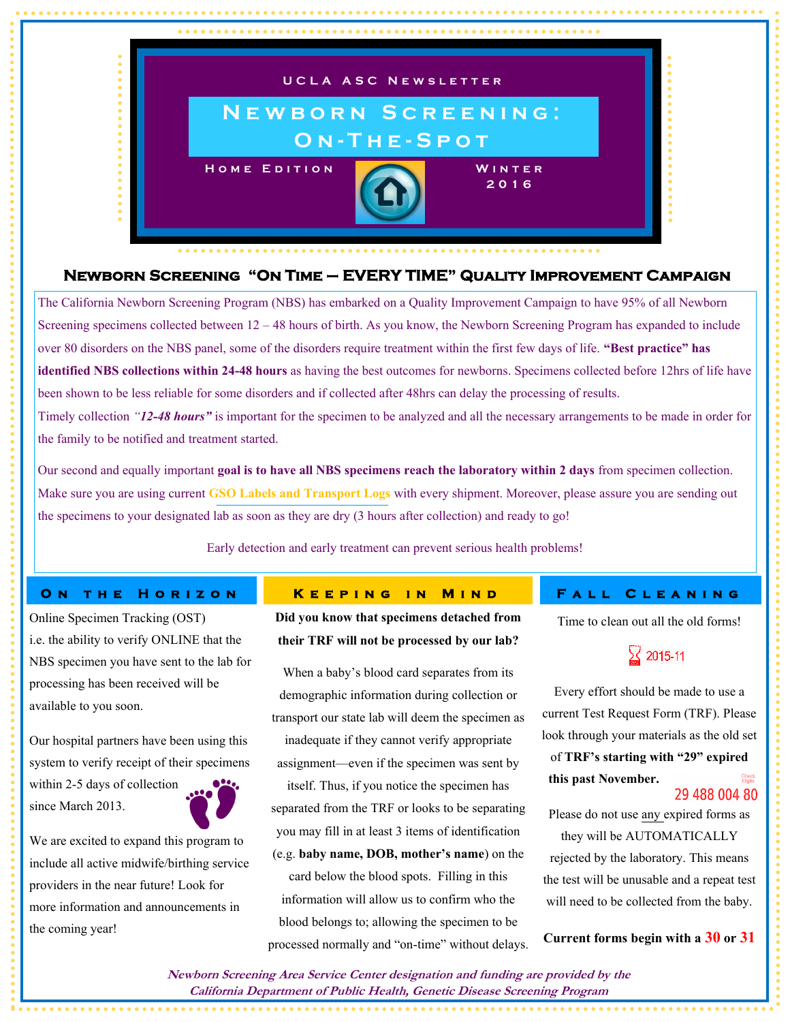

## **Newborn Screening "On Time – EVERY TIME" Quality Improvement Campaign**

The California Newborn Screening Program (NBS) has embarked on a Quality Improvement Campaign to have 95% of all Newborn Screening specimens collected between 12 – 48 hours of birth. As you know, the Newborn Screening Program has expanded to include over 80 disorders on the NBS panel, some of the disorders require treatment within the first few days of life. **"Best practice" has identified NBS collections within 24-48 hours** as having the best outcomes for newborns. Specimens collected before 12hrs of life have been shown to be less reliable for some disorders and if collected after 48hrs can delay the processing of results. Timely collection *"12-48 hours"* is important for the specimen to be analyzed and all the necessary arrangements to be made in order for

the family to be notified and treatment started.

Our second and equally important **goal is to have all NBS specimens reach the laboratory within 2 days** from specimen collection. Make sure you are using current **GSO Labels and Transport Logs** with every shipment. Moreover, please assure you are sending out the specimens to your designated lab as soon as they are dry (3 hours after collection) and ready to go!

Early detection and early treatment can prevent serious health problems!

### **ON THE HORIZON**

Online Specimen Tracking (OST) i.e. the ability to verify ONLINE that the NBS specimen you have sent to the lab for processing has been received will be available to you soon.

Our hospital partners have been using this system to verify receipt of their specimens

within 2-5 days of collection since March 2013.

We are excited to expand this program to include all active midwife/birthing service providers in the near future! Look for more information and announcements in the coming year!

### **KEEPING IN MIND**

**Did you know that specimens detached from their TRF will not be processed by our lab?** 

When a baby's blood card separates from its demographic information during collection or transport our state lab will deem the specimen as inadequate if they cannot verify appropriate assignment—even if the specimen was sent by

itself. Thus, if you notice the specimen has separated from the TRF or looks to be separating you may fill in at least 3 items of identification (e.g. **baby name, DOB, mother's name**) on the card below the blood spots. Filling in this information will allow us to confirm who the blood belongs to; allowing the specimen to be processed normally and "on-time" without delays.

## FALL CLEANING

Time to clean out all the old forms!



Every effort should be made to use a current Test Request Form (TRF). Please look through your materials as the old set

of **TRF's starting with "29" expired this past November.** 29 488 004 80

Please do not use any expired forms as they will be AUTOMATICALLY rejected by the laboratory. This means the test will be unusable and a repeat test will need to be collected from the baby.

**Current forms begin with a 30 or 31**

**Newborn Screening Area Service Center designation and funding are provided by the California Department of Public Health, Genetic Disease Screening Program**